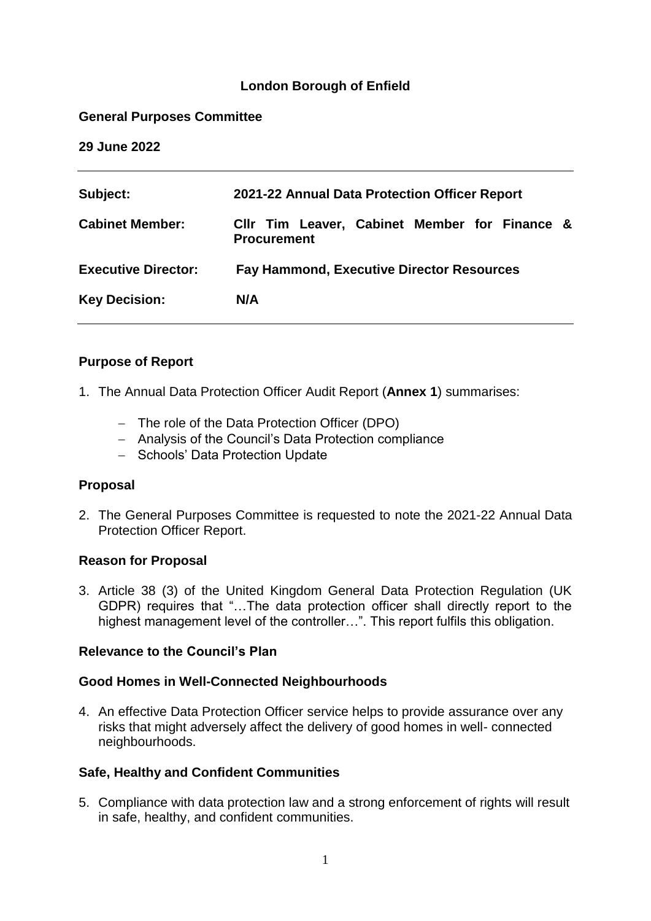#### **London Borough of Enfield**

#### **General Purposes Committee**

**29 June 2022**

| Subject:                   | 2021-22 Annual Data Protection Officer Report                       |  |  |
|----------------------------|---------------------------------------------------------------------|--|--|
| <b>Cabinet Member:</b>     | CIIr Tim Leaver, Cabinet Member for Finance &<br><b>Procurement</b> |  |  |
| <b>Executive Director:</b> | <b>Fay Hammond, Executive Director Resources</b>                    |  |  |
| <b>Key Decision:</b>       | N/A                                                                 |  |  |
|                            |                                                                     |  |  |

#### **Purpose of Report**

- 1. The Annual Data Protection Officer Audit Report (**Annex 1**) summarises:
	- The role of the Data Protection Officer (DPO)
	- Analysis of the Council's Data Protection compliance
	- Schools' Data Protection Update

#### **Proposal**

2. The General Purposes Committee is requested to note the 2021-22 Annual Data Protection Officer Report.

#### **Reason for Proposal**

3. Article 38 (3) of the United Kingdom General Data Protection Regulation (UK GDPR) requires that "…The data protection officer shall directly report to the highest management level of the controller…". This report fulfils this obligation.

#### **Relevance to the Council's Plan**

#### **Good Homes in Well-Connected Neighbourhoods**

4. An effective Data Protection Officer service helps to provide assurance over any risks that might adversely affect the delivery of good homes in well- connected neighbourhoods.

#### **Safe, Healthy and Confident Communities**

5. Compliance with data protection law and a strong enforcement of rights will result in safe, healthy, and confident communities.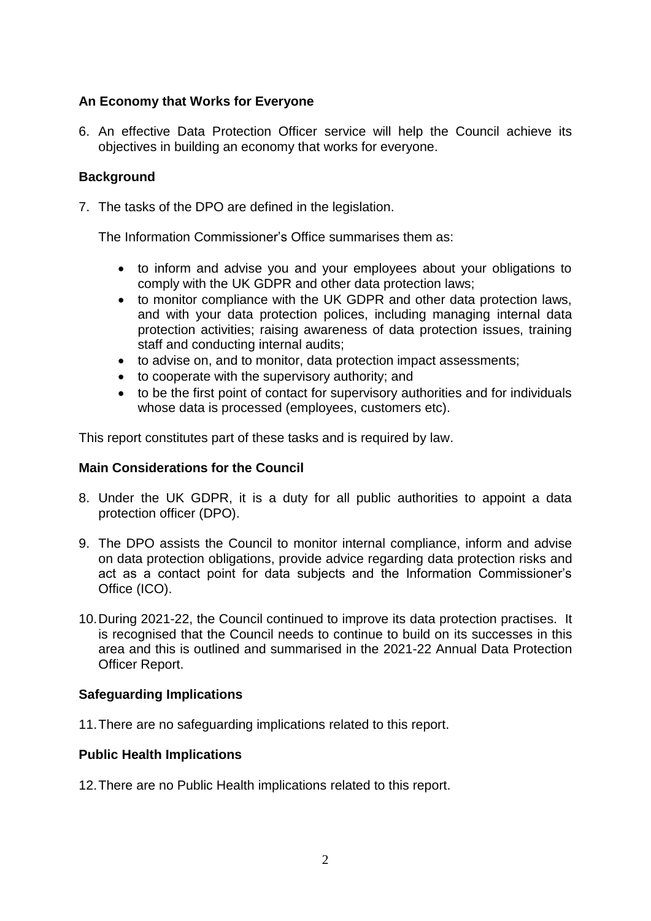# **An Economy that Works for Everyone**

6. An effective Data Protection Officer service will help the Council achieve its objectives in building an economy that works for everyone.

## **Background**

7. The tasks of the DPO are defined in the legislation.

The Information Commissioner's Office summarises them as:

- to inform and advise you and your employees about your obligations to comply with the UK GDPR and other data protection laws;
- to monitor compliance with the UK GDPR and other data protection laws, and with your data protection polices, including managing internal data protection activities; raising awareness of data protection issues, training staff and conducting internal audits;
- to advise on, and to monitor, data protection impact assessments;
- to cooperate with the supervisory authority; and
- to be the first point of contact for supervisory authorities and for individuals whose data is processed (employees, customers etc).

This report constitutes part of these tasks and is required by law.

## **Main Considerations for the Council**

- 8. Under the UK GDPR, it is a duty for all public authorities to appoint a data protection officer (DPO).
- 9. The DPO assists the Council to monitor internal compliance, inform and advise on data protection obligations, provide advice regarding data protection risks and act as a contact point for data subjects and the Information Commissioner's Office (ICO).
- 10.During 2021-22, the Council continued to improve its data protection practises. It is recognised that the Council needs to continue to build on its successes in this area and this is outlined and summarised in the 2021-22 Annual Data Protection Officer Report.

#### **Safeguarding Implications**

11.There are no safeguarding implications related to this report.

#### **Public Health Implications**

12.There are no Public Health implications related to this report.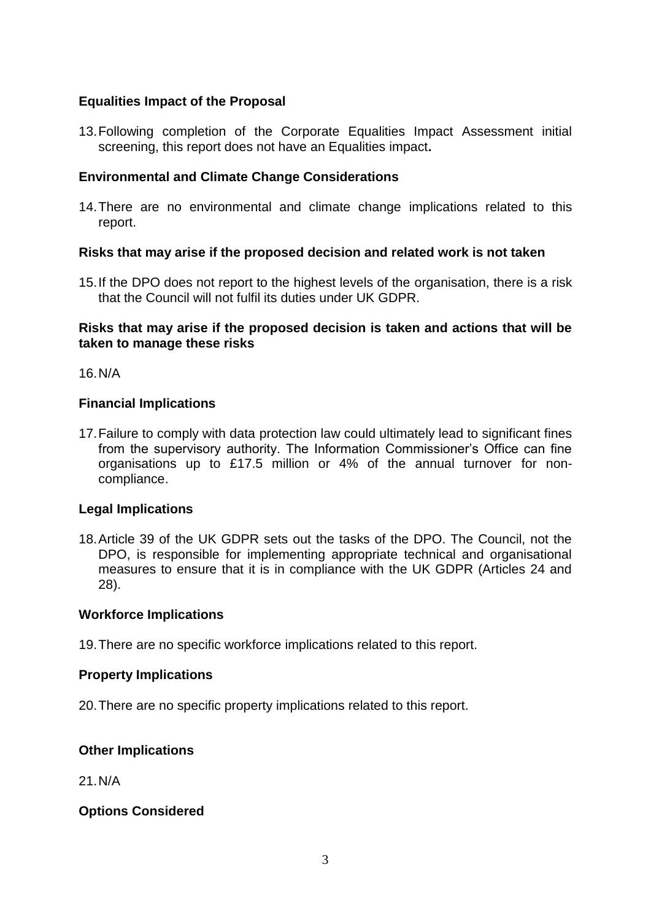## **Equalities Impact of the Proposal**

13.Following completion of the Corporate Equalities Impact Assessment initial screening, this report does not have an Equalities impact**.**

## **Environmental and Climate Change Considerations**

14.There are no environmental and climate change implications related to this report.

#### **Risks that may arise if the proposed decision and related work is not taken**

15.If the DPO does not report to the highest levels of the organisation, there is a risk that the Council will not fulfil its duties under UK GDPR.

#### **Risks that may arise if the proposed decision is taken and actions that will be taken to manage these risks**

16.N/A

#### **Financial Implications**

17.Failure to comply with data protection law could ultimately lead to significant fines from the supervisory authority. The Information Commissioner's Office can fine organisations up to £17.5 million or 4% of the annual turnover for noncompliance.

#### **Legal Implications**

18.Article 39 of the UK GDPR sets out the tasks of the DPO. The Council, not the DPO, is responsible for implementing appropriate technical and organisational measures to ensure that it is in compliance with the UK GDPR (Articles 24 and 28).

#### **Workforce Implications**

19.There are no specific workforce implications related to this report.

#### **Property Implications**

20.There are no specific property implications related to this report.

#### **Other Implications**

21.N/A

#### **Options Considered**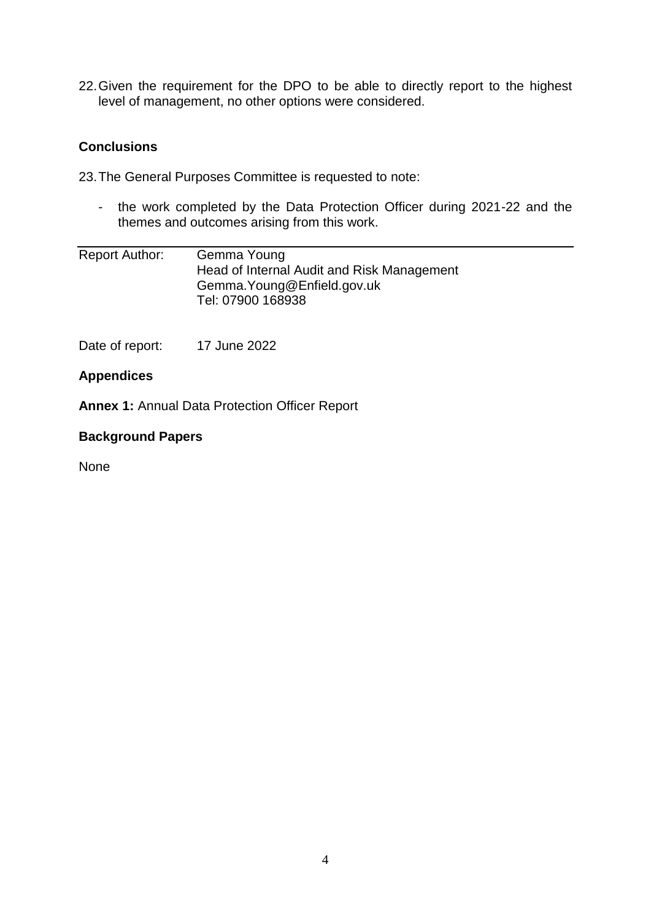22.Given the requirement for the DPO to be able to directly report to the highest level of management, no other options were considered.

## **Conclusions**

23.The General Purposes Committee is requested to note:

- the work completed by the Data Protection Officer during 2021-22 and the themes and outcomes arising from this work.

| Report Author: | Gemma Young                                |
|----------------|--------------------------------------------|
|                | Head of Internal Audit and Risk Management |
|                | Gemma. Young@Enfield.gov.uk                |
|                | Tel: 07900 168938                          |

Date of report: 17 June 2022

#### **Appendices**

**Annex 1:** Annual Data Protection Officer Report

#### **Background Papers**

None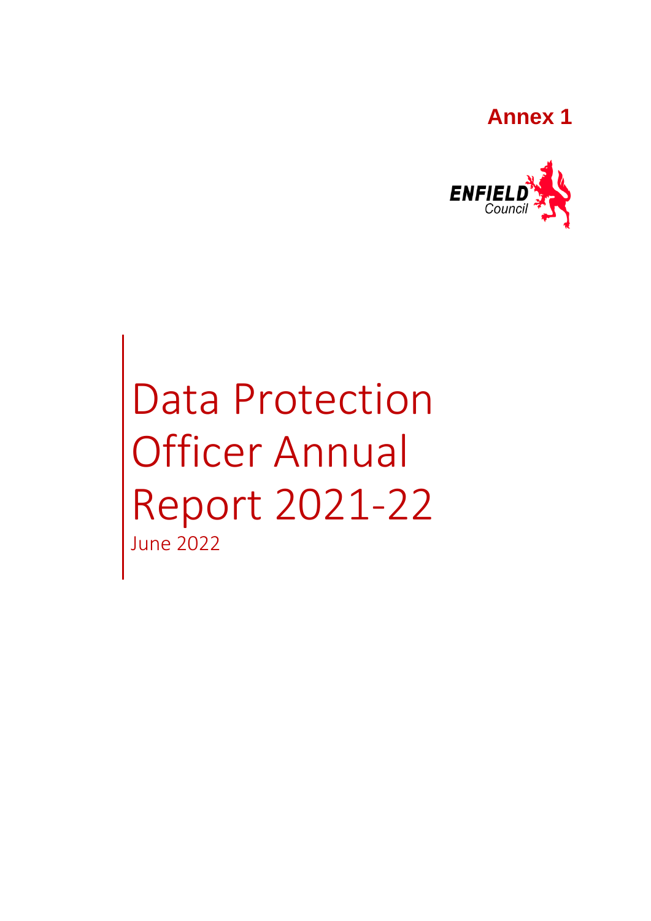# **Annex 1**



Data Protection Officer Annual Report 2021-22 June 2022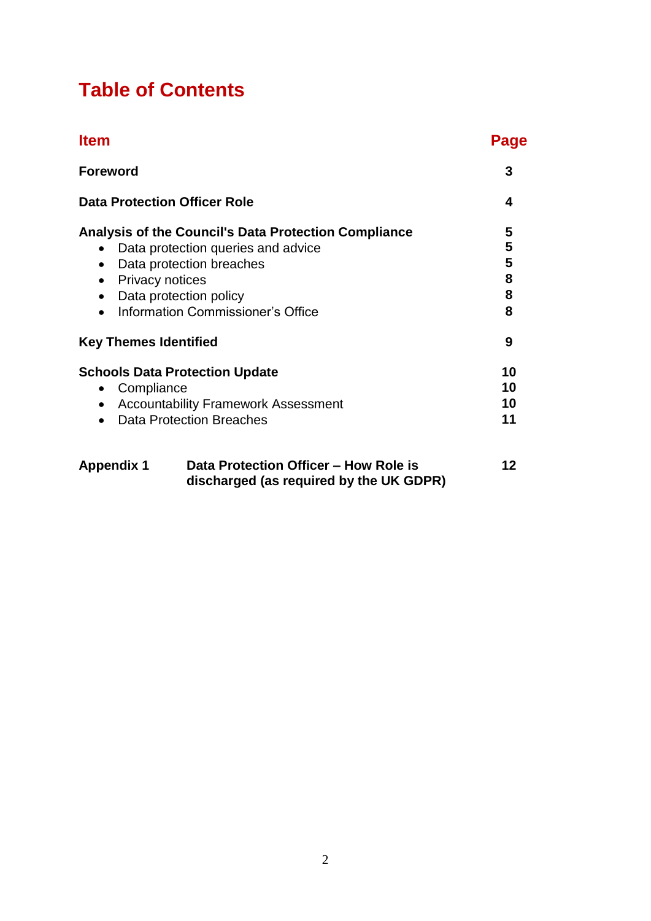# **Table of Contents**

| <b>Item</b>                                                                                                                                                                                                                                                                | Page |  |
|----------------------------------------------------------------------------------------------------------------------------------------------------------------------------------------------------------------------------------------------------------------------------|------|--|
| <b>Foreword</b>                                                                                                                                                                                                                                                            |      |  |
| <b>Data Protection Officer Role</b>                                                                                                                                                                                                                                        | 4    |  |
| <b>Analysis of the Council's Data Protection Compliance</b><br>Data protection queries and advice<br>Data protection breaches<br>$\bullet$<br><b>Privacy notices</b><br>$\bullet$<br>Data protection policy<br>$\bullet$<br>Information Commissioner's Office<br>$\bullet$ |      |  |
| <b>Key Themes Identified</b>                                                                                                                                                                                                                                               |      |  |
| <b>Schools Data Protection Update</b><br>Compliance<br>$\bullet$<br><b>Accountability Framework Assessment</b><br>$\bullet$<br><b>Data Protection Breaches</b><br>$\bullet$                                                                                                |      |  |
| Data Protection Officer - How Role is<br><b>Appendix 1</b><br>discharged (as required by the UK GDPR)                                                                                                                                                                      | 12   |  |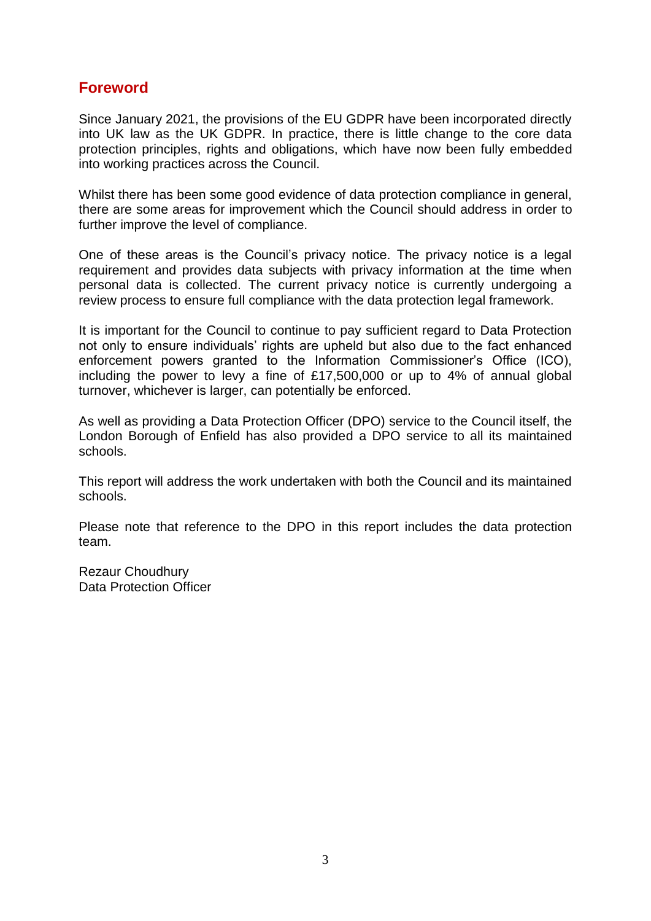# **Foreword**

Since January 2021, the provisions of the EU GDPR have been incorporated directly into UK law as the UK GDPR. In practice, there is little change to the core data protection principles, rights and obligations, which have now been fully embedded into working practices across the Council.

Whilst there has been some good evidence of data protection compliance in general, there are some areas for improvement which the Council should address in order to further improve the level of compliance.

One of these areas is the Council's privacy notice. The privacy notice is a legal requirement and provides data subjects with privacy information at the time when personal data is collected. The current privacy notice is currently undergoing a review process to ensure full compliance with the data protection legal framework.

It is important for the Council to continue to pay sufficient regard to Data Protection not only to ensure individuals' rights are upheld but also due to the fact enhanced enforcement powers granted to the Information Commissioner's Office (ICO), including the power to levy a fine of £17,500,000 or up to 4% of annual global turnover, whichever is larger, can potentially be enforced.

As well as providing a Data Protection Officer (DPO) service to the Council itself, the London Borough of Enfield has also provided a DPO service to all its maintained schools.

This report will address the work undertaken with both the Council and its maintained schools.

Please note that reference to the DPO in this report includes the data protection team.

Rezaur Choudhury Data Protection Officer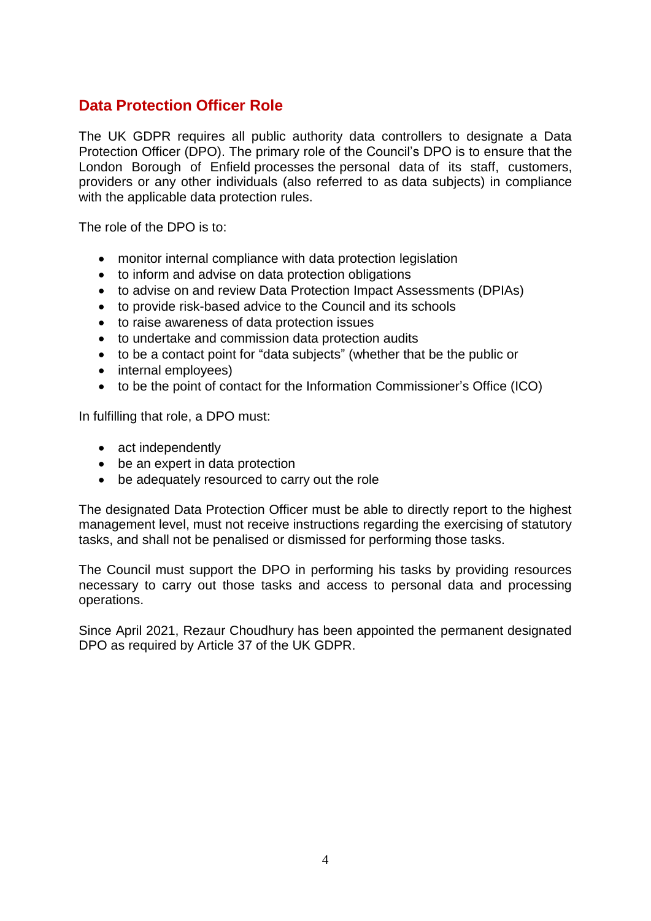# **Data Protection Officer Role**

The UK GDPR requires all public authority data controllers to designate a Data Protection Officer (DPO). The primary role of the Council's DPO is to ensure that the London Borough of Enfield processes the personal data of its staff, customers, providers or any other individuals (also referred to as data subjects) in compliance with the applicable data protection rules.

The role of the DPO is to:

- monitor internal compliance with data protection legislation
- to inform and advise on data protection obligations
- to advise on and review Data Protection Impact Assessments (DPIAs)
- to provide risk-based advice to the Council and its schools
- to raise awareness of data protection issues
- to undertake and commission data protection audits
- to be a contact point for "data subjects" (whether that be the public or
- internal employees)
- to be the point of contact for the Information Commissioner's Office (ICO)

In fulfilling that role, a DPO must:

- act independently
- be an expert in data protection
- be adequately resourced to carry out the role

The designated Data Protection Officer must be able to directly report to the highest management level, must not receive instructions regarding the exercising of statutory tasks, and shall not be penalised or dismissed for performing those tasks.

The Council must support the DPO in performing his tasks by providing resources necessary to carry out those tasks and access to personal data and processing operations.

Since April 2021, Rezaur Choudhury has been appointed the permanent designated DPO as required by Article 37 of the UK GDPR.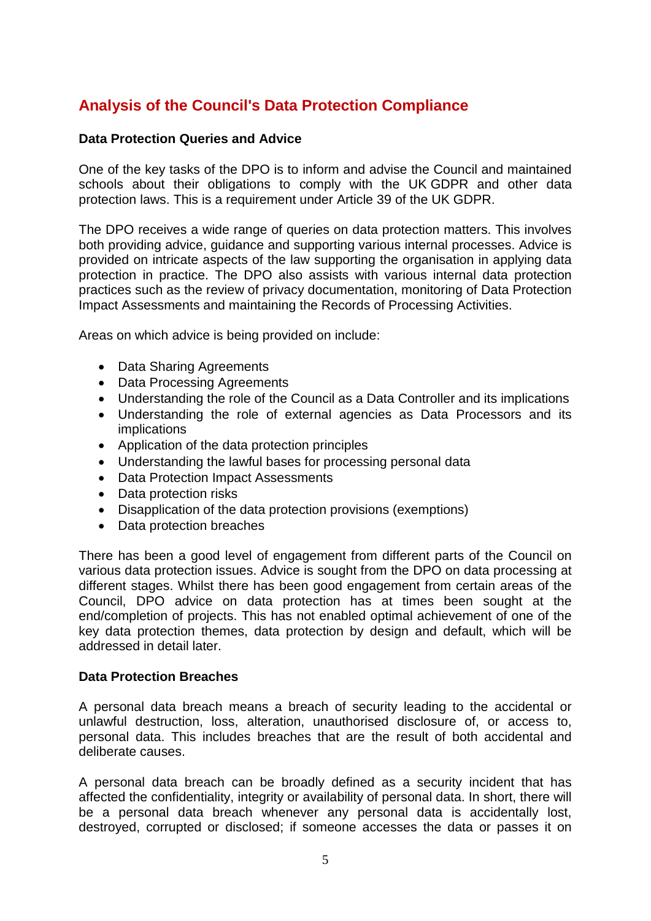# **Analysis of the Council's Data Protection Compliance**

#### **Data Protection Queries and Advice**

One of the key tasks of the DPO is to inform and advise the Council and maintained schools about their obligations to comply with the UK GDPR and other data protection laws. This is a requirement under Article 39 of the UK GDPR.

The DPO receives a wide range of queries on data protection matters. This involves both providing advice, guidance and supporting various internal processes. Advice is provided on intricate aspects of the law supporting the organisation in applying data protection in practice. The DPO also assists with various internal data protection practices such as the review of privacy documentation, monitoring of Data Protection Impact Assessments and maintaining the Records of Processing Activities.

Areas on which advice is being provided on include:

- Data Sharing Agreements
- Data Processing Agreements
- Understanding the role of the Council as a Data Controller and its implications
- Understanding the role of external agencies as Data Processors and its implications
- Application of the data protection principles
- Understanding the lawful bases for processing personal data
- Data Protection Impact Assessments
- Data protection risks
- Disapplication of the data protection provisions (exemptions)
- Data protection breaches

There has been a good level of engagement from different parts of the Council on various data protection issues. Advice is sought from the DPO on data processing at different stages. Whilst there has been good engagement from certain areas of the Council, DPO advice on data protection has at times been sought at the end/completion of projects. This has not enabled optimal achievement of one of the key data protection themes, data protection by design and default, which will be addressed in detail later.

#### **Data Protection Breaches**

A personal data breach means a breach of security leading to the accidental or unlawful destruction, loss, alteration, unauthorised disclosure of, or access to, personal data. This includes breaches that are the result of both accidental and deliberate causes.

A personal data breach can be broadly defined as a security incident that has affected the confidentiality, integrity or availability of personal data. In short, there will be a personal data breach whenever any personal data is accidentally lost, destroyed, corrupted or disclosed; if someone accesses the data or passes it on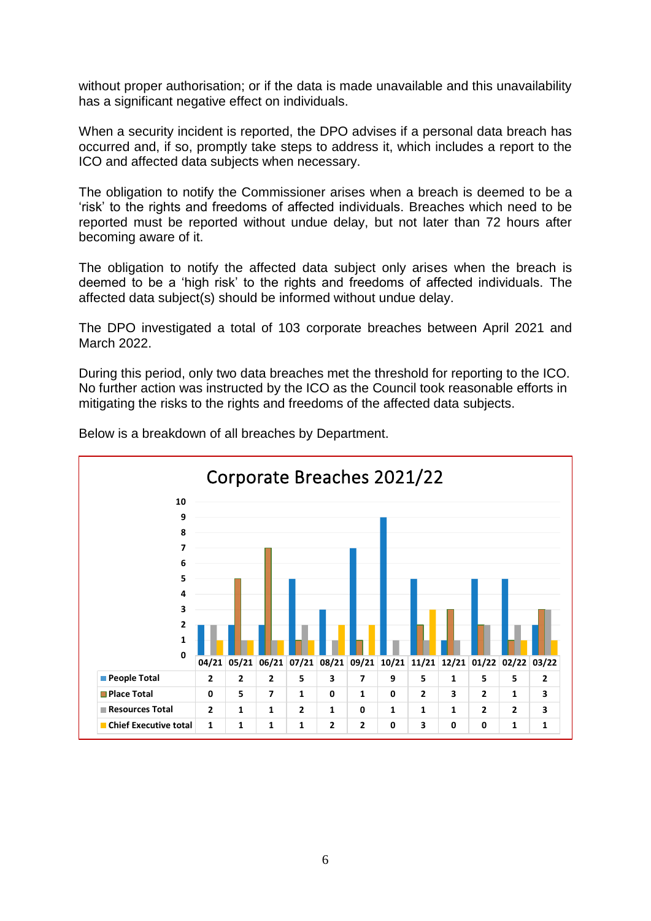without proper authorisation; or if the data is made unavailable and this unavailability has a significant negative effect on individuals.

When a security incident is reported, the DPO advises if a personal data breach has occurred and, if so, promptly take steps to address it, which includes a report to the ICO and affected data subjects when necessary.

The obligation to notify the Commissioner arises when a breach is deemed to be a 'risk' to the rights and freedoms of affected individuals. Breaches which need to be reported must be reported without undue delay, but not later than 72 hours after becoming aware of it.

The obligation to notify the affected data subject only arises when the breach is deemed to be a 'high risk' to the rights and freedoms of affected individuals. The affected data subject(s) should be informed without undue delay.

The DPO investigated a total of 103 corporate breaches between April 2021 and March 2022.

During this period, only two data breaches met the threshold for reporting to the ICO. No further action was instructed by the ICO as the Council took reasonable efforts in mitigating the risks to the rights and freedoms of the affected data subjects.



Below is a breakdown of all breaches by Department.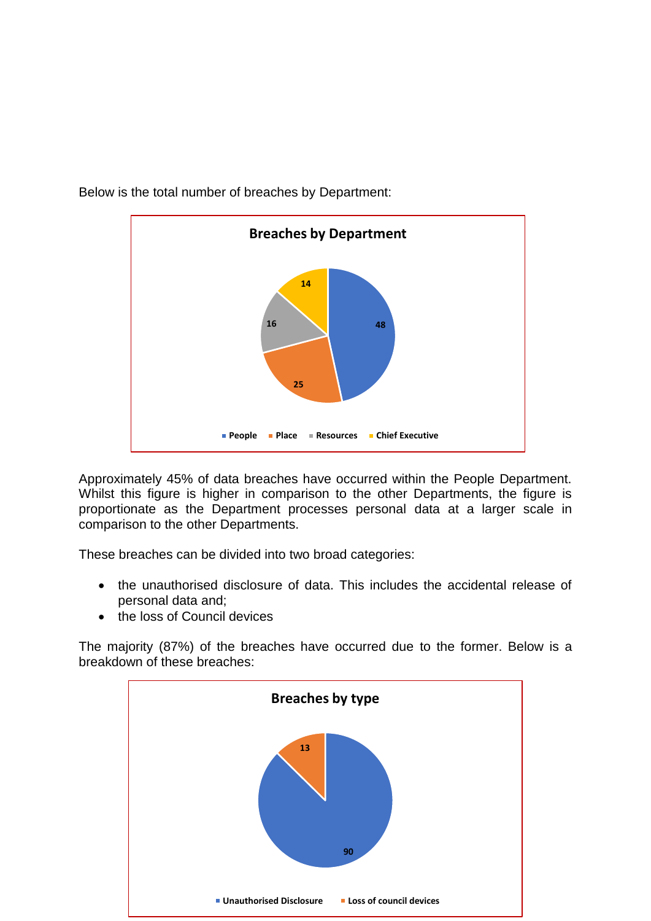

Below is the total number of breaches by Department:

Approximately 45% of data breaches have occurred within the People Department. Whilst this figure is higher in comparison to the other Departments, the figure is proportionate as the Department processes personal data at a larger scale in comparison to the other Departments.

These breaches can be divided into two broad categories:

- the unauthorised disclosure of data. This includes the accidental release of personal data and;
- the loss of Council devices

The majority (87%) of the breaches have occurred due to the former. Below is a breakdown of these breaches:

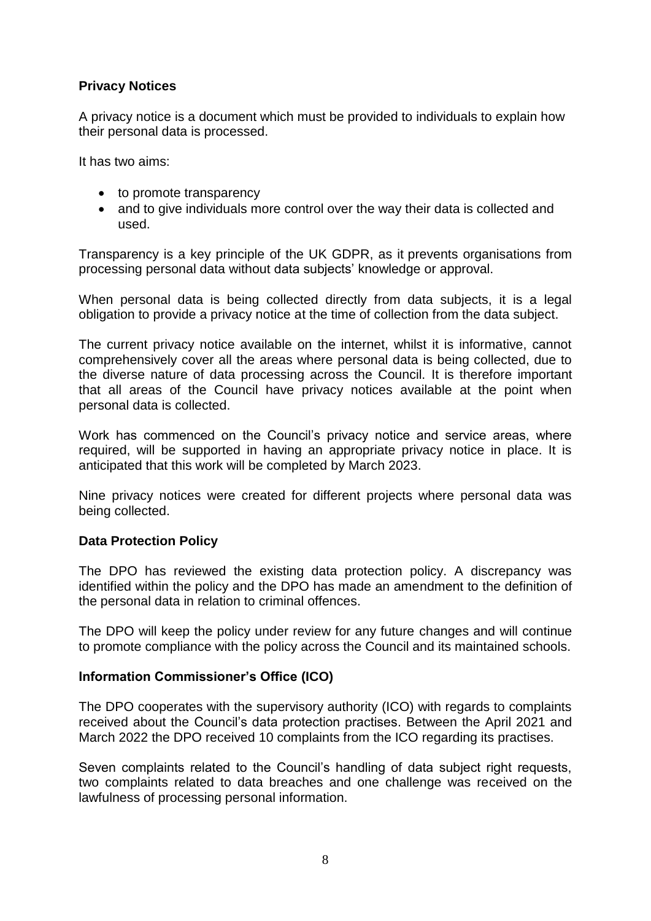# **Privacy Notices**

A privacy notice is a document which must be provided to individuals to explain how their personal data is processed.

It has two aims:

- to promote transparency
- and to give individuals more control over the way their data is collected and used.

Transparency is a key principle of the UK GDPR, as it prevents organisations from processing personal data without data subjects' knowledge or approval.

When personal data is being collected directly from data subjects, it is a legal obligation to provide a privacy notice at the time of collection from the data subject.

The current privacy notice available on the internet, whilst it is informative, cannot comprehensively cover all the areas where personal data is being collected, due to the diverse nature of data processing across the Council. It is therefore important that all areas of the Council have privacy notices available at the point when personal data is collected.

Work has commenced on the Council's privacy notice and service areas, where required, will be supported in having an appropriate privacy notice in place. It is anticipated that this work will be completed by March 2023.

Nine privacy notices were created for different projects where personal data was being collected.

#### **Data Protection Policy**

The DPO has reviewed the existing data protection policy. A discrepancy was identified within the policy and the DPO has made an amendment to the definition of the personal data in relation to criminal offences.

The DPO will keep the policy under review for any future changes and will continue to promote compliance with the policy across the Council and its maintained schools.

#### **Information Commissioner's Office (ICO)**

The DPO cooperates with the supervisory authority (ICO) with regards to complaints received about the Council's data protection practises. Between the April 2021 and March 2022 the DPO received 10 complaints from the ICO regarding its practises.

Seven complaints related to the Council's handling of data subject right requests, two complaints related to data breaches and one challenge was received on the lawfulness of processing personal information.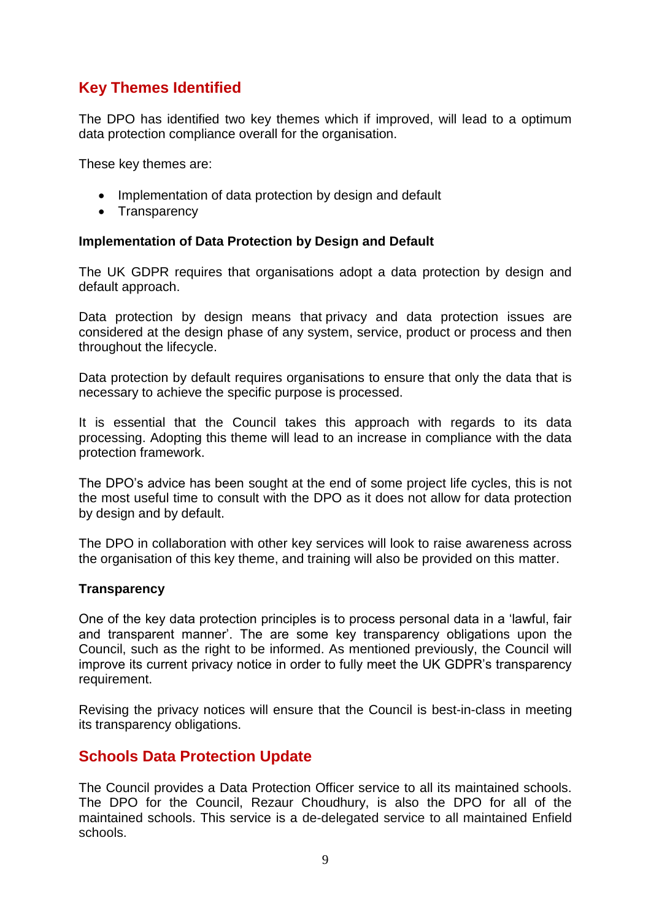# **Key Themes Identified**

The DPO has identified two key themes which if improved, will lead to a optimum data protection compliance overall for the organisation.

These key themes are:

- Implementation of data protection by design and default
- Transparency

#### **Implementation of Data Protection by Design and Default**

The UK GDPR requires that organisations adopt a data protection by design and default approach.

Data protection by design means that privacy and data protection issues are considered at the design phase of any system, service, product or process and then throughout the lifecycle.

Data protection by default requires organisations to ensure that only the data that is necessary to achieve the specific purpose is processed.

It is essential that the Council takes this approach with regards to its data processing. Adopting this theme will lead to an increase in compliance with the data protection framework.

The DPO's advice has been sought at the end of some project life cycles, this is not the most useful time to consult with the DPO as it does not allow for data protection by design and by default.

The DPO in collaboration with other key services will look to raise awareness across the organisation of this key theme, and training will also be provided on this matter.

#### **Transparency**

One of the key data protection principles is to process personal data in a 'lawful, fair and transparent manner'. The are some key transparency obligations upon the Council, such as the right to be informed. As mentioned previously, the Council will improve its current privacy notice in order to fully meet the UK GDPR's transparency requirement.

Revising the privacy notices will ensure that the Council is best-in-class in meeting its transparency obligations.

# **Schools Data Protection Update**

The Council provides a Data Protection Officer service to all its maintained schools. The DPO for the Council, Rezaur Choudhury, is also the DPO for all of the maintained schools. This service is a de-delegated service to all maintained Enfield schools.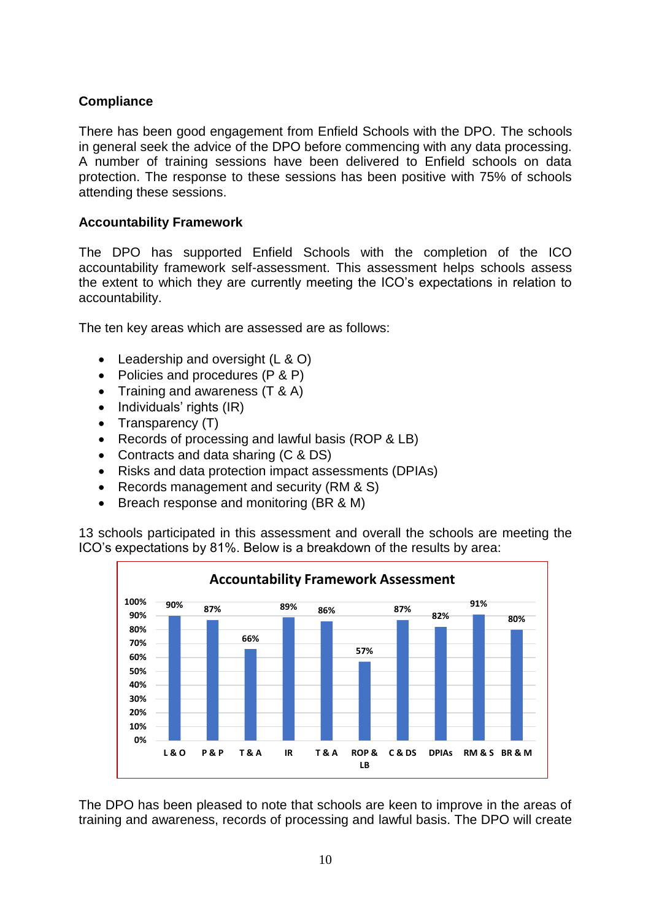# **Compliance**

There has been good engagement from Enfield Schools with the DPO. The schools in general seek the advice of the DPO before commencing with any data processing. A number of training sessions have been delivered to Enfield schools on data protection. The response to these sessions has been positive with 75% of schools attending these sessions.

## **Accountability Framework**

The DPO has supported Enfield Schools with the completion of the ICO accountability framework self-assessment. This assessment helps schools assess the extent to which they are currently meeting the ICO's expectations in relation to accountability.

The ten key areas which are assessed are as follows:

- Leadership and oversight (L & O)
- Policies and procedures (P & P)
- Training and awareness (T & A)
- $\bullet$  Individuals' rights (IR)
- $\bullet$  Transparency (T)
- Records of processing and lawful basis (ROP & LB)
- Contracts and data sharing (C & DS)
- Risks and data protection impact assessments (DPIAs)
- Records management and security (RM & S)
- Breach response and monitoring (BR & M)

13 schools participated in this assessment and overall the schools are meeting the ICO's expectations by 81%. Below is a breakdown of the results by area:



The DPO has been pleased to note that schools are keen to improve in the areas of training and awareness, records of processing and lawful basis. The DPO will create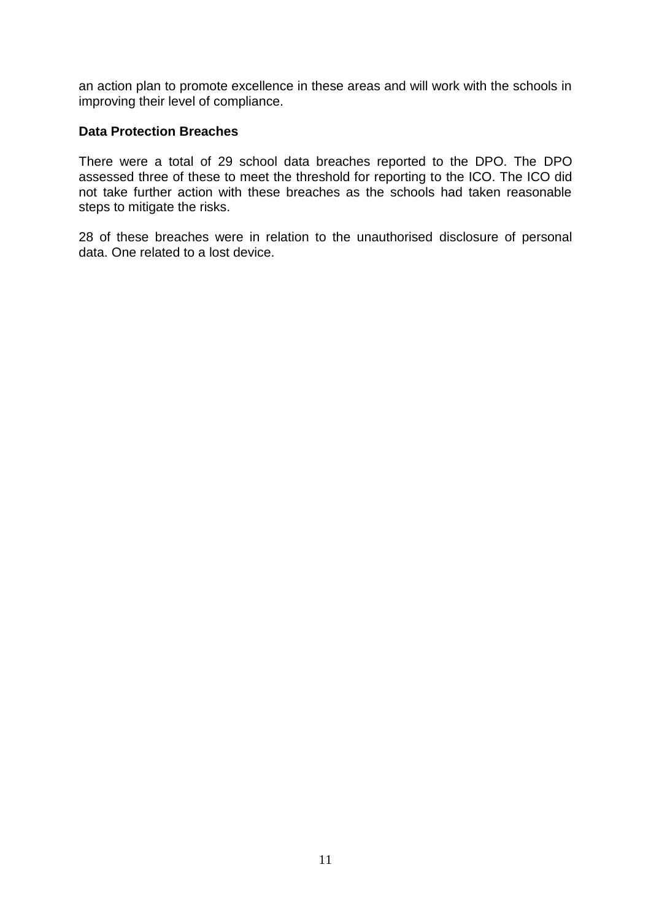an action plan to promote excellence in these areas and will work with the schools in improving their level of compliance.

#### **Data Protection Breaches**

There were a total of 29 school data breaches reported to the DPO. The DPO assessed three of these to meet the threshold for reporting to the ICO. The ICO did not take further action with these breaches as the schools had taken reasonable steps to mitigate the risks.

28 of these breaches were in relation to the unauthorised disclosure of personal data. One related to a lost device.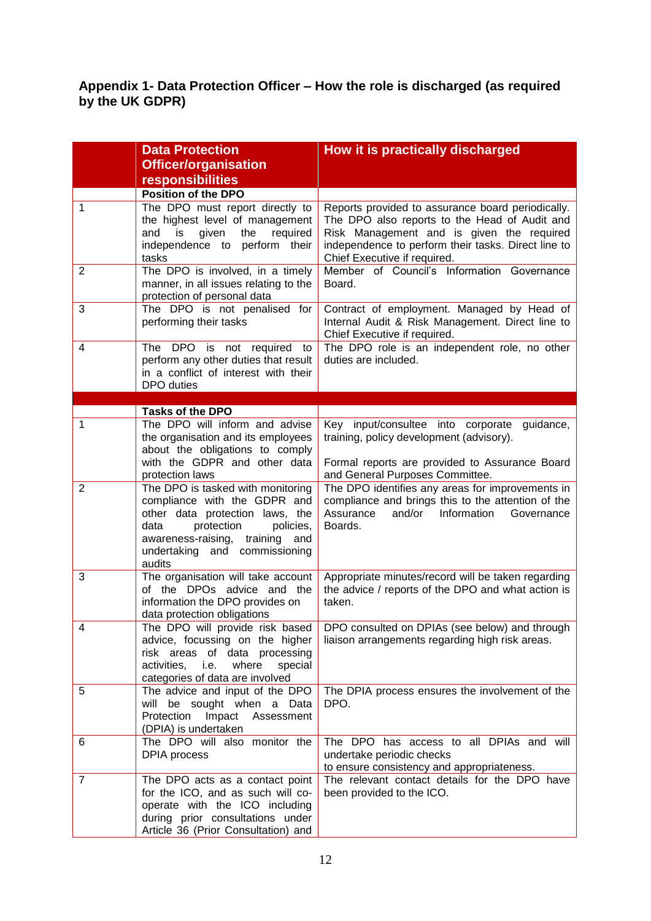## **Appendix 1- Data Protection Officer – How the role is discharged (as required by the UK GDPR)**

|                | <b>Data Protection</b>                                                                                                                                                                                                | How it is practically discharged                                                                                                                                                                                                       |
|----------------|-----------------------------------------------------------------------------------------------------------------------------------------------------------------------------------------------------------------------|----------------------------------------------------------------------------------------------------------------------------------------------------------------------------------------------------------------------------------------|
|                | <b>Officer/organisation</b>                                                                                                                                                                                           |                                                                                                                                                                                                                                        |
|                | responsibilities                                                                                                                                                                                                      |                                                                                                                                                                                                                                        |
|                | <b>Position of the DPO</b>                                                                                                                                                                                            |                                                                                                                                                                                                                                        |
| 1              | The DPO must report directly to<br>the highest level of management<br>is<br>given<br>required<br>and<br>the<br>independence to perform their<br>tasks                                                                 | Reports provided to assurance board periodically.<br>The DPO also reports to the Head of Audit and<br>Risk Management and is given the required<br>independence to perform their tasks. Direct line to<br>Chief Executive if required. |
| $\overline{2}$ | The DPO is involved, in a timely<br>manner, in all issues relating to the<br>protection of personal data                                                                                                              | Member of Council's Information Governance<br>Board.                                                                                                                                                                                   |
| 3              | The DPO is not penalised for<br>performing their tasks                                                                                                                                                                | Contract of employment. Managed by Head of<br>Internal Audit & Risk Management. Direct line to<br>Chief Executive if required.                                                                                                         |
| 4              | The DPO is not required<br>to<br>perform any other duties that result<br>in a conflict of interest with their<br>DPO duties                                                                                           | The DPO role is an independent role, no other<br>duties are included.                                                                                                                                                                  |
|                |                                                                                                                                                                                                                       |                                                                                                                                                                                                                                        |
|                | <b>Tasks of the DPO</b>                                                                                                                                                                                               |                                                                                                                                                                                                                                        |
| 1              | The DPO will inform and advise<br>the organisation and its employees<br>about the obligations to comply<br>with the GDPR and other data<br>protection laws                                                            | Key input/consultee into corporate guidance,<br>training, policy development (advisory).<br>Formal reports are provided to Assurance Board<br>and General Purposes Committee.                                                          |
| $\overline{2}$ | The DPO is tasked with monitoring<br>compliance with the GDPR and<br>other data protection laws, the<br>data<br>protection<br>policies,<br>awareness-raising, training and<br>undertaking and commissioning<br>audits | The DPO identifies any areas for improvements in<br>compliance and brings this to the attention of the<br>Assurance<br>and/or<br>Information<br>Governance<br>Boards.                                                                  |
| 3              | The organisation will take account<br>of the DPOs advice and the<br>information the DPO provides on<br>data protection obligations                                                                                    | Appropriate minutes/record will be taken regarding<br>the advice / reports of the DPO and what action is<br>taken.                                                                                                                     |
| 4              | The DPO will provide risk based<br>advice, focussing on the higher<br>risk areas of data processing<br>where<br>activities, <i>i.e.</i><br>special<br>categories of data are involved                                 | DPO consulted on DPIAs (see below) and through<br>liaison arrangements regarding high risk areas.                                                                                                                                      |
| 5              | The advice and input of the DPO<br>will be sought when a Data<br>Protection Impact Assessment<br>(DPIA) is undertaken                                                                                                 | The DPIA process ensures the involvement of the<br>DPO.                                                                                                                                                                                |
| 6              | The DPO will also monitor the<br><b>DPIA</b> process                                                                                                                                                                  | The DPO has access to all DPIAs and will<br>undertake periodic checks<br>to ensure consistency and appropriateness.                                                                                                                    |
| $\overline{7}$ | The DPO acts as a contact point<br>for the ICO, and as such will co-<br>operate with the ICO including<br>during prior consultations under<br>Article 36 (Prior Consultation) and                                     | The relevant contact details for the DPO have<br>been provided to the ICO.                                                                                                                                                             |